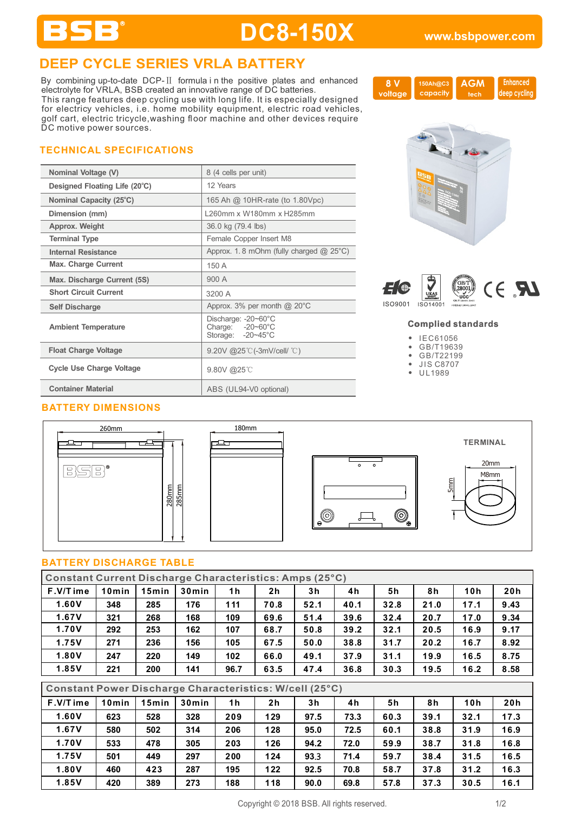### **DEEP CYCLE SERIES VRLA BATTERY**

By combining up-to-date DCP-Ⅱ formula i n the positive plates and enhanced electrolyte for VRLA, BSB created an innovative range of DC batteries. This range features deep cycling use with long life. It is especially designed for electricy vehicles, i.e. home mobility equipment, electric road vehicles, golf cart, electric tricycle,washing floor machine and other devices require DC motive power sources.

### **TECHNICAL SPECIFICATIONS**

BSB®

| Nominal Voltage (V)             | 8 (4 cells per unit)                                                   |
|---------------------------------|------------------------------------------------------------------------|
| Designed Floating Life (20°C)   | 12 Years                                                               |
| Nominal Capacity (25°C)         | 165 Ah @ 10HR-rate (to 1.80Vpc)                                        |
| Dimension (mm)                  | 1260mm x W180mm x H285mm                                               |
| Approx. Weight                  | 36.0 kg (79.4 lbs)                                                     |
| <b>Terminal Type</b>            | Female Copper Insert M8                                                |
| Internal Resistance             | Approx. 1.8 mOhm (fully charged $@$ 25°C)                              |
| <b>Max. Charge Current</b>      | 150 A                                                                  |
| Max. Discharge Current (5S)     | 900 A                                                                  |
| <b>Short Circuit Current</b>    | 3200 A                                                                 |
| <b>Self Discharge</b>           | Approx. $3\%$ per month @ 20 $\degree$ C                               |
| <b>Ambient Temperature</b>      | Discharge: -20~60°C<br>Charge: $-20-60^{\circ}$ C<br>Storage: -20~45°C |
| <b>Float Charge Voltage</b>     | 9.20V @25 °C (-3mV/cell/ $^{\circ}$ C)                                 |
| <b>Cycle Use Charge Voltage</b> | 9.80V @25℃                                                             |
| <b>Container Material</b>       | ABS (UL94-V0 optional)                                                 |

### **BATTERY DIMENSIONS**





# $\circledcirc$  $^{\circledR}$

### **BATTERY DISCHARGE TABLE**

| <b>Constant Current Discharge Characteristics: Amps (25°C)</b> |       |                       |       |                |                |      |      |                |      |      |      |
|----------------------------------------------------------------|-------|-----------------------|-------|----------------|----------------|------|------|----------------|------|------|------|
| F.V/Time                                                       | 10min | 15min                 | 30min | 1 <sub>h</sub> | 2 <sub>h</sub> | 3h   | 4h   | 5h             | 8h   | 10h  | 20h  |
| 1.60V                                                          | 348   | 285                   | 176   | 111            | 70.8           | 52.1 | 40.1 | 32.8           | 21.0 | 17.1 | 9.43 |
| 1.67V                                                          | 321   | 268                   | 168   | 109            | 69.6           | 51.4 | 39.6 | 32.4           | 20.7 | 17.0 | 9.34 |
| 1.70V                                                          | 292   | 253                   | 162   | 107            | 68.7           | 50.8 | 39.2 | 32.1           | 20.5 | 16.9 | 9.17 |
| 1.75V                                                          | 271   | 236                   | 156   | 105            | 67.5           | 50.0 | 38.8 | 31.7           | 20.2 | 16.7 | 8.92 |
| 1.80V                                                          | 247   | 220                   | 149   | 102            | 66.0           | 49.1 | 37.9 | 31.1           | 19.9 | 16.5 | 8.75 |
| 1.85V                                                          | 221   | 200                   | 141   | 96.7           | 63.5           | 47.4 | 36.8 | 30.3           | 19.5 | 16.2 | 8.58 |
|                                                                |       |                       |       |                |                |      |      |                |      |      |      |
| <b>Constant Power Discharge Characteristics: W/cell (25°C)</b> |       |                       |       |                |                |      |      |                |      |      |      |
| $F.V/T$ ime                                                    |       | 10min   15min   30min |       | 1 <sub>h</sub> | 2 <sub>h</sub> | 3h   | 4h   | 5 <sub>h</sub> | 8h   | 10h  | 20h  |

| F.V/Time | 10min | 15min | 30 <sub>min</sub> | 1 h | 2 <sub>h</sub> | 3h   | 4h   | 5h   | 8h   | 10h  | 20 h |
|----------|-------|-------|-------------------|-----|----------------|------|------|------|------|------|------|
| 1.60V    | 623   | 528   | 328               | 209 | 129            | 97.5 | 73.3 | 60.3 | 39.1 | 32.1 | 17.3 |
| 1.67V    | 580   | 502   | 314               | 206 | 128            | 95.0 | 72.5 | 60.1 | 38.8 | 31.9 | 16.9 |
| 1.70V    | 533   | 478   | 305               | 203 | 126            | 94.2 | 72.0 | 59.9 | 38.7 | 31.8 | 16.8 |
| 1.75V    | 501   | 449   | 297               | 200 | 124            | 93.3 | 71.4 | 59.7 | 38.4 | 31.5 | 16.5 |
| 1.80V    | 460   | 423   | 287               | 195 | 122            | 92.5 | 70.8 | 58.7 | 37.8 | 31.2 | 16.3 |
| 1.85V    | 420   | 389   | 273               | 188 | 118            | 90.0 | 69.8 | 57.8 | 37.3 | 30.5 | 16.1 |

### Copyright © 2018 BSB. All rights reserved. 1/2

**AGM tech**

**150Ah@C3 capacity**

 **Enhanced deep cycling**



**8 V voltage**



### **Complied standards**

- IEC61056
- GB/T19639  $\bullet$
- $\bullet$ GB/T22199
- JIS C8707
- UL1989





**TERMINAL**